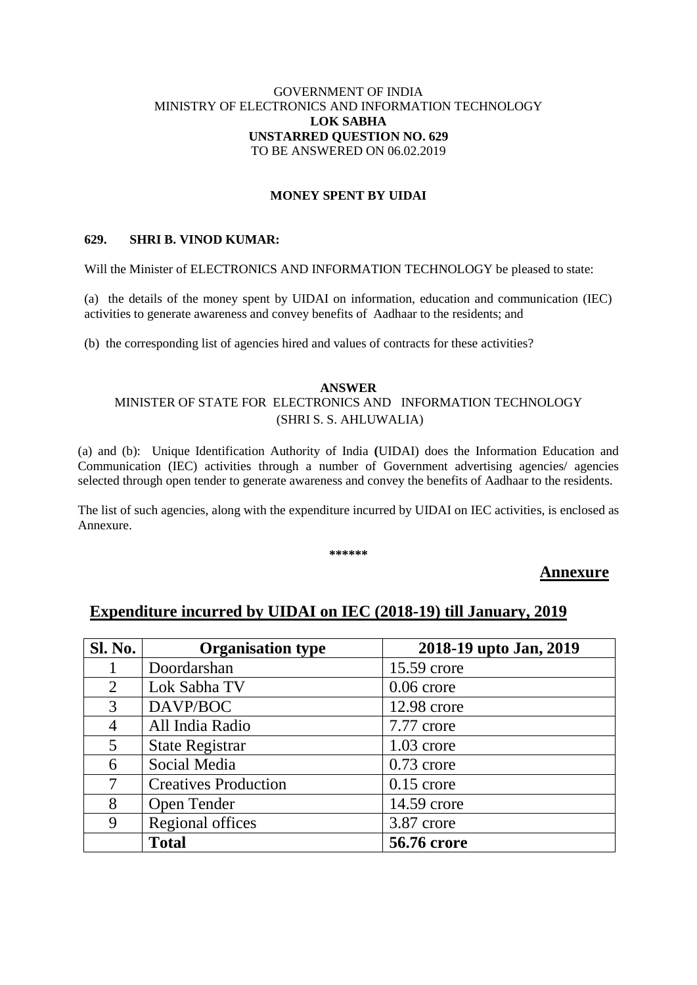## GOVERNMENT OF INDIA MINISTRY OF ELECTRONICS AND INFORMATION TECHNOLOGY **LOK SABHA UNSTARRED QUESTION NO. 629** TO BE ANSWERED ON 06.02.2019

## **MONEY SPENT BY UIDAI**

## **629. SHRI B. VINOD KUMAR:**

Will the Minister of ELECTRONICS AND INFORMATION TECHNOLOGY be pleased to state:

(a) the details of the money spent by UIDAI on information, education and communication (IEC) activities to generate awareness and convey benefits of Aadhaar to the residents; and

(b) the corresponding list of agencies hired and values of contracts for these activities?

#### **ANSWER**

# MINISTER OF STATE FOR ELECTRONICS AND INFORMATION TECHNOLOGY (SHRI S. S. AHLUWALIA)

(a) and (b): Unique Identification Authority of India **(**UIDAI) does the Information Education and Communication (IEC) activities through a number of Government advertising agencies/ agencies selected through open tender to generate awareness and convey the benefits of Aadhaar to the residents.

The list of such agencies, along with the expenditure incurred by UIDAI on IEC activities, is enclosed as Annexure.

**\*\*\*\*\*\***

#### **Annexure**

| <b>Sl. No.</b> | <b>Organisation type</b>    | 2018-19 upto Jan, 2019 |
|----------------|-----------------------------|------------------------|
|                | Doordarshan                 | 15.59 crore            |
| $\overline{2}$ | Lok Sabha TV                | $0.06$ crore           |
| 3              | DAVP/BOC                    | 12.98 crore            |
| 4              | All India Radio             | 7.77 crore             |
| 5              | <b>State Registrar</b>      | $1.03$ crore           |
| 6              | Social Media                | $0.73$ crore           |
| 7              | <b>Creatives Production</b> | $0.15$ crore           |
| 8              | Open Tender                 | 14.59 crore            |
| 9              | Regional offices            | 3.87 crore             |
|                | <b>Total</b>                | <b>56.76 crore</b>     |

# **Expenditure incurred by UIDAI on IEC (2018-19) till January, 2019**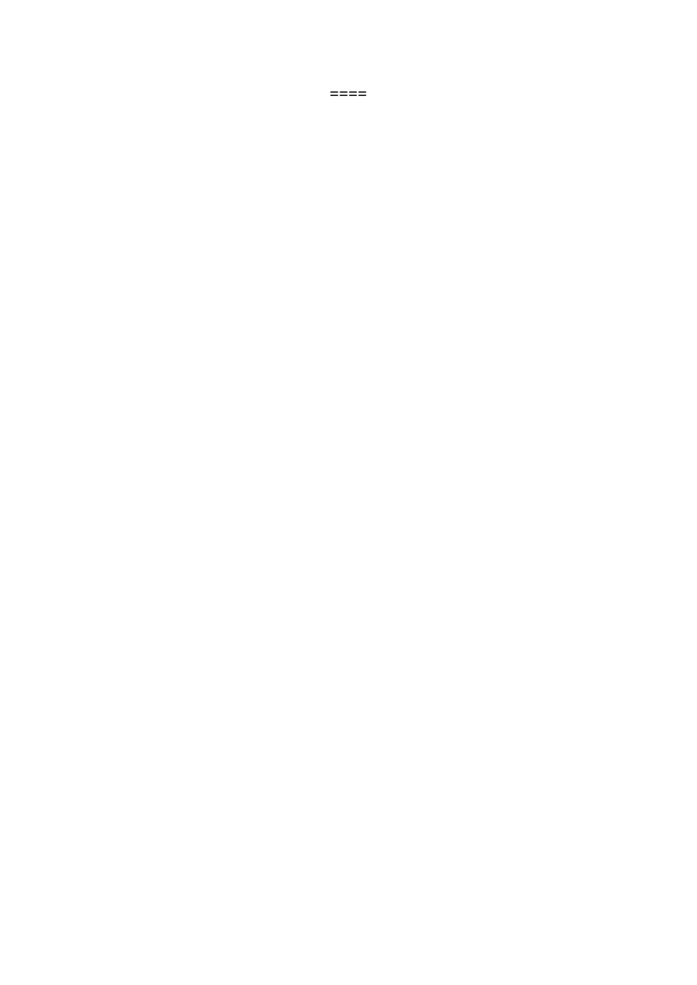$=$  $=$  $=$  $=$